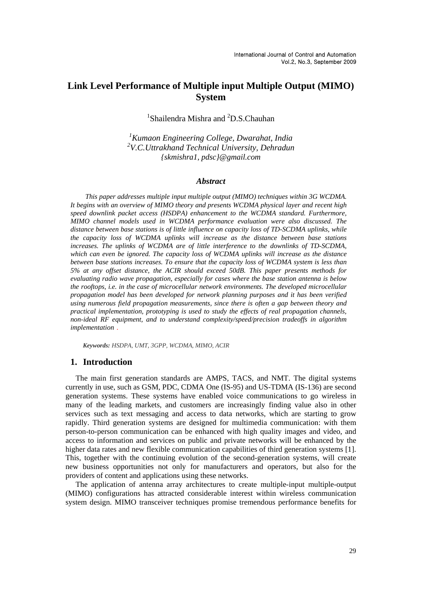# **Link Level Performance of Multiple input Multiple Output (MIMO) System**

<sup>1</sup>Shailendra Mishra and <sup>2</sup>D.S.Chauhan

*1 Kumaon Engineering College, Dwarahat, India 2 V.C.Uttrakhand Technical University, Dehradun {skmishra1, pdsc}@gmail.com* 

### *Abstract*

*This paper addresses multiple input multiple output (MIMO) techniques within 3G WCDMA. It begins with an overview of MIMO theory and presents WCDMA physical layer and recent high speed downlink packet access (HSDPA) enhancement to the WCDMA standard. Furthermore, MIMO channel models used in WCDMA performance evaluation were also discussed. The distance between base stations is of little influence on capacity loss of TD-SCDMA uplinks, while the capacity loss of WCDMA uplinks will increase as the distance between base stations increases. The uplinks of WCDMA are of little interference to the downlinks of TD-SCDMA, which can even be ignored. The capacity loss of WCDMA uplinks will increase as the distance between base stations increases. To ensure that the capacity loss of WCDMA system is less than 5% at any offset distance, the ACIR should exceed 50dB. This paper presents methods for evaluating radio wave propagation, especially for cases where the base station antenna is below the rooftops, i.e. in the case of microcellular network environments. The developed microcellular propagation model has been developed for network planning purposes and it has been verified using numerous field propagation measurements, since there is often a gap between theory and practical implementation, prototyping is used to study the effects of real propagation channels, non-ideal RF equipment, and to understand complexity/speed/precision tradeoffs in algorithm implementation .*

 *Keywords: HSDPA, UMT, 3GPP, WCDMA, MIMO, ACIR* 

### **1. Introduction**

The main first generation standards are AMPS, TACS, and NMT. The digital systems currently in use, such as GSM, PDC, CDMA One (IS-95) and US-TDMA (IS-136) are second generation systems. These systems have enabled voice communications to go wireless in many of the leading markets, and customers are increasingly finding value also in other services such as text messaging and access to data networks, which are starting to grow rapidly. Third generation systems are designed for multimedia communication: with them person-to-person communication can be enhanced with high quality images and video, and access to information and services on public and private networks will be enhanced by the higher data rates and new flexible communication capabilities of third generation systems [1]. This, together with the continuing evolution of the second-generation systems, will create new business opportunities not only for manufacturers and operators, but also for the providers of content and applications using these networks.

The application of antenna array architectures to create multiple-input multiple-output (MIMO) configurations has attracted considerable interest within wireless communication system design. MIMO transceiver techniques promise tremendous performance benefits for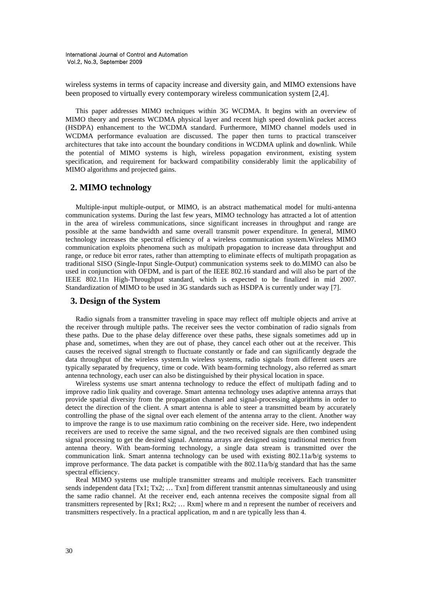wireless systems in terms of capacity increase and diversity gain, and MIMO extensions have been proposed to virtually every contemporary wireless communication system [2,4].

This paper addresses MIMO techniques within 3G WCDMA. It begins with an overview of MIMO theory and presents WCDMA physical layer and recent high speed downlink packet access (HSDPA) enhancement to the WCDMA standard. Furthermore, MIMO channel models used in WCDMA performance evaluation are discussed. The paper then turns to practical transceiver architectures that take into account the boundary conditions in WCDMA uplink and downlink. While the potential of MIMO systems is high, wireless popagation environment, existing system specification, and requirement for backward compatibility considerably limit the applicability of MIMO algorithms and projected gains.

# **2. MIMO technology**

Multiple-input multiple-output, or MIMO, is an abstract mathematical model for multi-antenna communication systems. During the last few years, MIMO technology has attracted a lot of attention in the area of wireless communications, since significant increases in throughput and range are possible at the same bandwidth and same overall transmit power expenditure. In general, MIMO technology increases the spectral efficiency of a wireless communication system.Wireless MIMO communication exploits phenomena such as multipath propagation to increase data throughput and range, or reduce bit error rates, rather than attempting to eliminate effects of multipath propagation as traditional SISO (Single-Input Single-Output) communication systems seek to do.MIMO can also be used in conjunction with OFDM, and is part of the IEEE 802.16 standard and will also be part of the IEEE 802.11n High-Throughput standard, which is expected to be finalized in mid 2007. Standardization of MIMO to be used in 3G standards such as HSDPA is currently under way [7].

### **3. Design of the System**

Radio signals from a transmitter traveling in space may reflect off multiple objects and arrive at the receiver through multiple paths. The receiver sees the vector combination of radio signals from these paths. Due to the phase delay difference over these paths, these signals sometimes add up in phase and, sometimes, when they are out of phase, they cancel each other out at the receiver. This causes the received signal strength to fluctuate constantly or fade and can significantly degrade the data throughput of the wireless system.In wireless systems, radio signals from different users are typically separated by frequency, time or code. With beam-forming technology, also referred as smart antenna technology, each user can also be distinguished by their physical location in space.

Wireless systems use smart antenna technology to reduce the effect of multipath fading and to improve radio link quality and coverage. Smart antenna technology uses adaptive antenna arrays that provide spatial diversity from the propagation channel and signal-processing algorithms in order to detect the direction of the client. A smart antenna is able to steer a transmitted beam by accurately controlling the phase of the signal over each element of the antenna array to the client. Another way to improve the range is to use maximum ratio combining on the receiver side. Here, two independent receivers are used to receive the same signal, and the two received signals are then combined using signal processing to get the desired signal. Antenna arrays are designed using traditional metrics from antenna theory. With beam-forming technology, a single data stream is transmitted over the communication link. Smart antenna technology can be used with existing 802.11a/b/g systems to improve performance. The data packet is compatible with the 802.11a/b/g standard that has the same spectral efficiency.

Real MIMO systems use multiple transmitter streams and multiple receivers. Each transmitter sends independent data [Tx1; Tx2; ... Txn] from different transmit antennas simultaneously and using the same radio channel. At the receiver end, each antenna receives the composite signal from all transmitters represented by [Rx1; Rx2; … Rxm] where m and n represent the number of receivers and transmitters respectively. In a practical application, m and n are typically less than 4.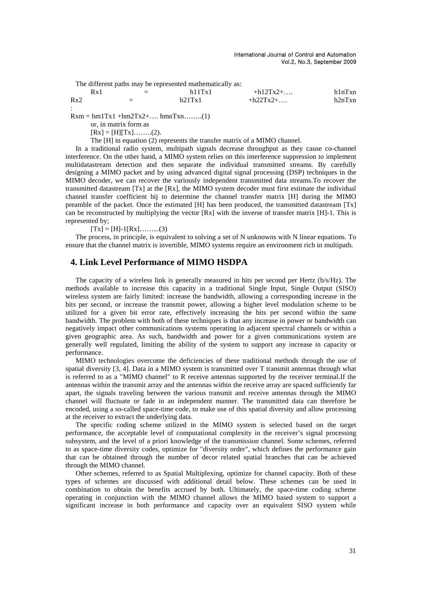The different paths may be represented mathematically as:

| Rx1<br>---- | _ | $11$ T <sub>v</sub> . | $+h12Tx2+$<br>$\cdots$ | h1nTxn |
|-------------|---|-----------------------|------------------------|--------|
| Rx2         |   | $1T_{\rm VI}$         | $+h22Tx2+$<br>-        | h?nTvn |

 $Rxm = h m1Tx1 + h m2Tx2 + ... h mnTxn$ ........(1)

or, in matrix form as

:

 $[Rx] = [H][Tx]$ ……..(2).

The [H] in equation (2) represents the transfer matrix of a MIMO channel.

In a traditional radio system, multipath signals decrease throughput as they cause co-channel interference. On the other hand, a MIMO system relies on this interference suppression to implement multidatastream detection and then separate the individual transmitted streams. By carefully designing a MIMO packet and by using advanced digital signal processing (DSP) techniques in the MIMO decoder, we can recover the variously independent transmitted data streams.To recover the transmitted datastream [Tx] at the [Rx], the MIMO system decoder must first estimate the individual channel transfer coefficient hij to determine the channel transfer matrix [H] during the MIMO preamble of the packet. Once the estimated [H] has been produced, the transmitted datastream [Tx] can be reconstructed by multiplying the vector [Rx] with the inverse of transfer matrix [H]-1. This is represented by;

 $[Tx] = [H]-1[Rx] \dots (3)$ 

The process, in principle, is equivalent to solving a set of N unknowns with N linear equations. To ensure that the channel matrix is invertible, MIMO systems require an environment rich in multipath.

# **4. Link Level Performance of MIMO HSDPA**

The capacity of a wireless link is generally measured in bits per second per Hertz (b/s/Hz). The methods available to increase this capacity in a traditional Single Input, Single Output (SISO) wireless system are fairly limited: increase the bandwidth, allowing a corresponding increase in the bits per second, or increase the transmit power, allowing a higher level modulation scheme to be utilized for a given bit error rate, effectively increasing the bits per second within the same bandwidth. The problem with both of these techniques is that any increase in power or bandwidth can negatively impact other communications systems operating in adjacent spectral channels or within a given geographic area. As such, bandwidth and power for a given communications system are generally well regulated, limiting the ability of the system to support any increase in capacity or performance.

MIMO technologies overcome the deficiencies of these traditional methods through the use of spatial diversity [3, 4]. Data in a MIMO system is transmitted over T transmit antennas through what is referred to as a "MIMO channel" to R receive antennas supported by the receiver terminal.If the antennas within the transmit array and the antennas within the receive array are spaced sufficiently far apart, the signals traveling between the various transmit and receive antennas through the MIMO channel will fluctuate or fade in an independent manner. The transmitted data can therefore be encoded, using a so-called space-time code, to make use of this spatial diversity and allow processing at the receiver to extract the underlying data.

The specific coding scheme utilized in the MIMO system is selected based on the target performance, the acceptable level of computational complexity in the receiver's signal processing subsystem, and the level of a priori knowledge of the transmission channel. Some schemes, referred to as space-time diversity codes, optimize for "diversity order", which defines the performance gain that can be obtained through the number of decor related spatial branches that can be achieved through the MIMO channel.

Other schemes, referred to as Spatial Multiplexing, optimize for channel capacity. Both of these types of schemes are discussed with additional detail below. These schemes can be used in combination to obtain the benefits accrued by both. Ultimately, the space-time coding scheme operating in conjunction with the MIMO channel allows the MIMO based system to support a significant increase in both performance and capacity over an equivalent SISO system while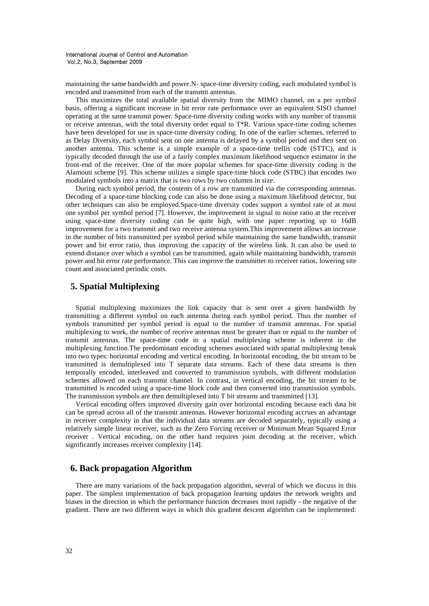maintaining the same bandwidth and power.N- space-time diversity coding, each modulated symbol is encoded and transmitted from each of the transmit antennas.

This maximizes the total available spatial diversity from the MIMO channel, on a per symbol basis, offering a significant increase in bit error rate performance over an equivalent SISO channel operating at the same transmit power. Space-time diversity coding works with any number of transmit or receive antennas, with the total diversity order equal to  $T^*R$ . Various space-time coding schemes have been developed for use in space-time diversity coding. In one of the earlier schemes, referred to as Delay Diversity, each symbol sent on one antenna is delayed by a symbol period and then sent on another antenna. This scheme is a simple example of a space-time trellis code (STTC), and is typically decoded through the use of a fairly complex maximum likelihood sequence estimator in the front-end of the receiver. One of the more popular schemes for space-time diversity coding is the Alamouti scheme [9]. This scheme utilizes a simple space-time block code (STBC) that encodes two modulated symbols into a matrix that is two rows by two columns in size.

During each symbol period, the contents of a row are transmitted via the corresponding antennas. Decoding of a space-time blocking code can also be done using a maximum likelihood detector, but other techniques can also be employed.Space-time diversity codes support a symbol rate of at most one symbol per symbol period [7]. However, the improvement in signal to noise ratio at the receiver using space-time diversity coding can be quite high, with one paper reporting up to 16dB improvement for a two transmit and two receive antenna system.This improvement allows an increase in the number of bits transmitted per symbol period while maintaining the same bandwidth, transmit power and bit error ratio, thus improving the capacity of the wireless link. It can also be used to extend distance over which a symbol can be transmitted, again while maintaining bandwidth, transmit power and bit error rate performance. This can improve the transmitter to receiver ratios, lowering site count and associated periodic costs.

# **5. Spatial Multiplexing**

Spatial multiplexing maximizes the link capacity that is sent over a given bandwidth by transmitting a different symbol on each antenna during each symbol period. Thus the number of symbols transmitted per symbol period is equal to the number of transmit antennas. For spatial multiplexing to work, the number of receive antennas must be greater than or equal to the number of transmit antennas. The space-time code in a spatial multiplexing scheme is inherent in the multiplexing function.The predominant encoding schemes associated with spatial multiplexing break into two types: horizontal encoding and vertical encoding. In horizontal encoding, the bit stream to be transmitted is demultiplexed into T separate data streams. Each of these data streams is then temporally encoded, interleaved and converted to transmission symbols, with different modulation schemes allowed on each transmit channel. In contrast, in vertical encoding, the bit stream to be transmitted is encoded using a space-time block code and then converted into transmission symbols. The transmission symbols are then demultiplexed into T bit streams and transmitted [13].

Vertical encoding offers improved diversity gain over horizontal encoding because each data bit can be spread across all of the transmit antennas. However horizontal encoding accrues an advantage in receiver complexity in that the individual data streams are decoded separately, typically using a relatively simple linear receiver, such as the Zero Forcing receiver or Minimum Mean Squared Error receiver . Vertical encoding, on the other hand requires joint decoding at the receiver, which significantly increases receiver complexity [14].

# **6. Back propagation Algorithm**

There are many variations of the back propagation algorithm, several of which we discuss in this paper. The simplest implementation of back propagation learning updates the network weights and biases in the direction in which the performance function decreases most rapidly - the negative of the gradient. There are two different ways in which this gradient descent algorithm can be implemented: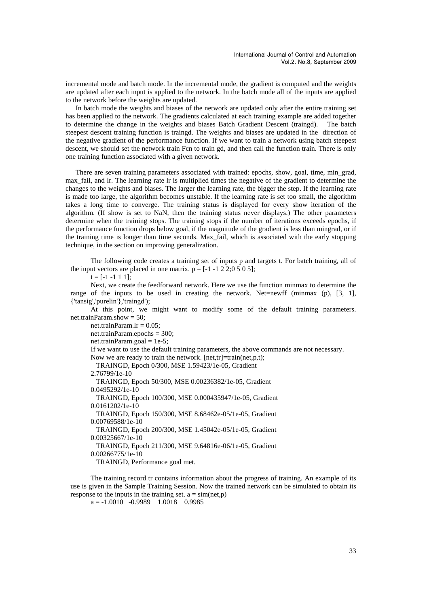incremental mode and batch mode. In the incremental mode, the gradient is computed and the weights are updated after each input is applied to the network. In the batch mode all of the inputs are applied to the network before the weights are updated.

In batch mode the weights and biases of the network are updated only after the entire training set has been applied to the network. The gradients calculated at each training example are added together to determine the change in the weights and biases Batch Gradient Descent (traingd). The batch steepest descent training function is traingd. The weights and biases are updated in the direction of the negative gradient of the performance function. If we want to train a network using batch steepest descent, we should set the network train Fcn to train gd, and then call the function train. There is only one training function associated with a given network.

There are seven training parameters associated with trained: epochs, show, goal, time, min\_grad, max\_fail, and lr. The learning rate lr is multiplied times the negative of the gradient to determine the changes to the weights and biases. The larger the learning rate, the bigger the step. If the learning rate is made too large, the algorithm becomes unstable. If the learning rate is set too small, the algorithm takes a long time to converge. The training status is displayed for every show iteration of the algorithm. (If show is set to NaN, then the training status never displays.) The other parameters determine when the training stops. The training stops if the number of iterations exceeds epochs, if the performance function drops below goal, if the magnitude of the gradient is less than mingrad, or if the training time is longer than time seconds. Max\_fail, which is associated with the early stopping technique, in the section on improving generalization.

The following code creates a training set of inputs p and targets t. For batch training, all of the input vectors are placed in one matrix.  $p = [-1, 2, 2, 0, 5, 0, 5]$ ;

 $t = [-1 -1 1 1]$ ;

Next, we create the feedforward network. Here we use the function minmax to determine the range of the inputs to be used in creating the network. Net=newff (minmax (p), [3, 1], {'tansig','purelin'},'traingd');

At this point, we might want to modify some of the default training parameters. net.trainParam.show  $= 50$ ;

net.trainParam.lr =  $0.05$ ;

net.trainParam.epochs = 300;

 $net.trainParam.google = 1e-5;$ 

If we want to use the default training parameters, the above commands are not necessary.

Now we are ready to train the network. [net,tr]=train(net,p,t);

TRAINGD, Epoch 0/300, MSE 1.59423/1e-05, Gradient

2.76799/1e-10

 TRAINGD, Epoch 50/300, MSE 0.00236382/1e-05, Gradient 0.0495292/1e-10

 TRAINGD, Epoch 100/300, MSE 0.000435947/1e-05, Gradient 0.0161202/1e-10

 TRAINGD, Epoch 150/300, MSE 8.68462e-05/1e-05, Gradient 0.00769588/1e-10

 TRAINGD, Epoch 200/300, MSE 1.45042e-05/1e-05, Gradient 0.00325667/1e-10

 TRAINGD, Epoch 211/300, MSE 9.64816e-06/1e-05, Gradient 0.00266775/1e-10

TRAINGD, Performance goal met.

The training record tr contains information about the progress of training. An example of its use is given in the Sample Training Session. Now the trained network can be simulated to obtain its response to the inputs in the training set.  $a = \text{sim}(net, p)$ 

 $a = -1.0010 -0.9989 - 1.0018 - 0.9985$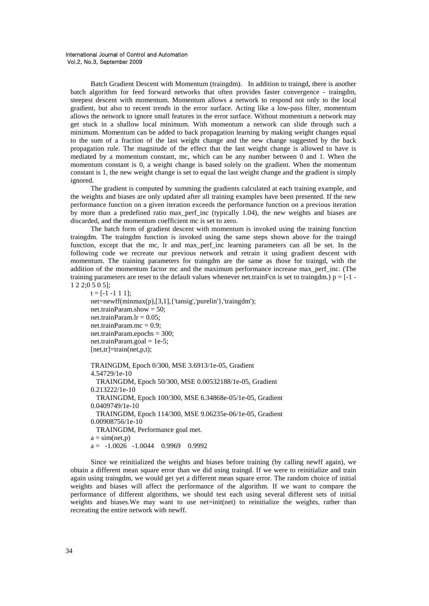Batch Gradient Descent with Momentum (traingdm). In addition to traingd, there is another batch algorithm for feed forward networks that often provides faster convergence - traingdm, steepest descent with momentum. Momentum allows a network to respond not only to the local gradient, but also to recent trends in the error surface. Acting like a low-pass filter, momentum allows the network to ignore small features in the error surface. Without momentum a network may get stuck in a shallow local minimum. With momentum a network can slide through such a minimum. Momentum can be added to back propagation learning by making weight changes equal to the sum of a fraction of the last weight change and the new change suggested by the back propagation rule. The magnitude of the effect that the last weight change is allowed to have is mediated by a momentum constant, mc, which can be any number between 0 and 1. When the momentum constant is 0, a weight change is based solely on the gradient. When the momentum constant is 1, the new weight change is set to equal the last weight change and the gradient is simply ignored.

The gradient is computed by summing the gradients calculated at each training example, and the weights and biases are only updated after all training examples have been presented. If the new performance function on a given iteration exceeds the performance function on a previous iteration by more than a predefined ratio max\_perf\_inc (typically 1.04), the new weights and biases are discarded, and the momentum coefficient mc is set to zero.

The batch form of gradient descent with momentum is invoked using the training function traingdm. The traingdm function is invoked using the same steps shown above for the traingd function, except that the mc, lr and max\_perf\_inc learning parameters can all be set. In the following code we recreate our previous network and retrain it using gradient descent with momentum. The training parameters for traingdm are the same as those for traingd, with the addition of the momentum factor mc and the maximum performance increase max\_perf\_inc. (The training parameters are reset to the default values whenever net.trainFcn is set to traingdm.)  $p = [-1 -$ 1 2 2;0 5 0 5];

```
t = [-1 -1 1 1];net=newff(minmax(p),[3,1],{'tansig','purelin'},'traingdm'); 
net.trainParam.show = 50; 
net.trainParam.lr = 0.05;
net.trainParam.mc = 0.9;
net.trainParam.epochs = 300; 
net.trainParam.google1e-5;[net,tr] = train(net,p,t);TRAINGDM, Epoch 0/300, MSE 3.6913/1e-05, Gradient 
4.54729/1e-10 
   TRAINGDM, Epoch 50/300, MSE 0.00532188/1e-05, Gradient 
0.213222/1e-10
```
 TRAINGDM, Epoch 100/300, MSE 6.34868e-05/1e-05, Gradient 0.0409749/1e-10

 TRAINGDM, Epoch 114/300, MSE 9.06235e-06/1e-05, Gradient 0.00908756/1e-10 TRAINGDM, Performance goal met.

```
a = sim(net, p)
```
 $a = -1.0026 -1.0044$  0.9969 0.9992

Since we reinitialized the weights and biases before training (by calling newff again), we obtain a different mean square error than we did using traingd. If we were to reinitialize and train again using traingdm, we would get yet a different mean square error. The random choice of initial weights and biases will affect the performance of the algorithm. If we want to compare the performance of different algorithms, we should test each using several different sets of initial weights and biases. We may want to use net=init(net) to reinitialize the weights, rather than recreating the entire network with newff.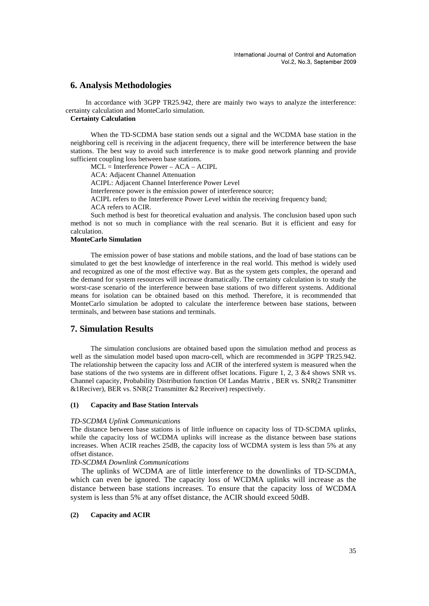# **6. Analysis Methodologies**

In accordance with 3GPP TR25.942, there are mainly two ways to analyze the interference: certainty calculation and MonteCarlo simulation.

# **Certainty Calculation**

When the TD-SCDMA base station sends out a signal and the WCDMA base station in the neighboring cell is receiving in the adjacent frequency, there will be interference between the base stations. The best way to avoid such interference is to make good network planning and provide sufficient coupling loss between base stations.

MCL = Interference Power – ACA – ACIPL

ACA: Adjacent Channel Attenuation

ACIPL: Adjacent Channel Interference Power Level

Interference power is the emission power of interference source;

ACIPL refers to the Interference Power Level within the receiving frequency band;

ACA refers to ACIR.

Such method is best for theoretical evaluation and analysis. The conclusion based upon such method is not so much in compliance with the real scenario. But it is efficient and easy for calculation.

# **MonteCarlo Simulation**

The emission power of base stations and mobile stations, and the load of base stations can be simulated to get the best knowledge of interference in the real world. This method is widely used and recognized as one of the most effective way. But as the system gets complex, the operand and the demand for system resources will increase dramatically. The certainty calculation is to study the worst-case scenario of the interference between base stations of two different systems. Additional means for isolation can be obtained based on this method. Therefore, it is recommended that MonteCarlo simulation be adopted to calculate the interference between base stations, between terminals, and between base stations and terminals.

# **7. Simulation Results**

The simulation conclusions are obtained based upon the simulation method and process as well as the simulation model based upon macro-cell, which are recommended in 3GPP TR25.942. The relationship between the capacity loss and ACIR of the interfered system is measured when the base stations of the two systems are in different offset locations. Figure 1, 2, 3 &4 shows SNR vs. Channel capacity, Probability Distribution function Of Landas Matrix , BER vs. SNR(2 Transmitter &1Reciver), BER vs. SNR(2 Transmitter &2 Receiver) respectively.

### **(1) Capacity and Base Station Intervals**

#### *TD-SCDMA Uplink Communications*

The distance between base stations is of little influence on capacity loss of TD-SCDMA uplinks, while the capacity loss of WCDMA uplinks will increase as the distance between base stations increases. When ACIR reaches 25dB, the capacity loss of WCDMA system is less than 5% at any offset distance.

### *TD-SCDMA Downlink Communications*

The uplinks of WCDMA are of little interference to the downlinks of TD-SCDMA, which can even be ignored. The capacity loss of WCDMA uplinks will increase as the distance between base stations increases. To ensure that the capacity loss of WCDMA system is less than 5% at any offset distance, the ACIR should exceed 50dB.

#### **(2) Capacity and ACIR**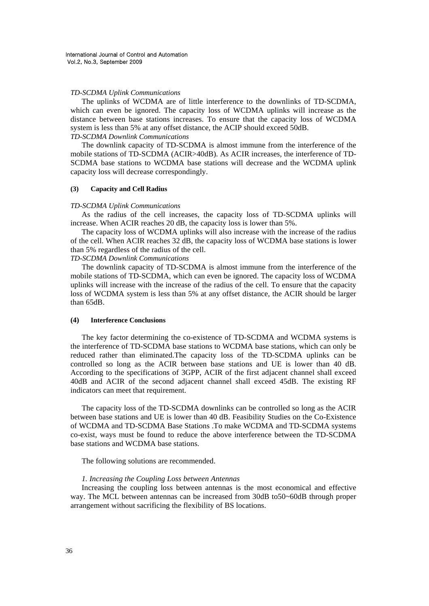### *TD-SCDMA Uplink Communications*

The uplinks of WCDMA are of little interference to the downlinks of TD-SCDMA, which can even be ignored. The capacity loss of WCDMA uplinks will increase as the distance between base stations increases. To ensure that the capacity loss of WCDMA system is less than 5% at any offset distance, the ACIP should exceed 50dB. *TD-SCDMA Downlink Communications* 

The downlink capacity of TD-SCDMA is almost immune from the interference of the mobile stations of TD-SCDMA (ACIR>40dB). As ACIR increases, the interference of TD-SCDMA base stations to WCDMA base stations will decrease and the WCDMA uplink capacity loss will decrease correspondingly.

### **(3) Capacity and Cell Radius**

#### *TD-SCDMA Uplink Communications*

As the radius of the cell increases, the capacity loss of TD-SCDMA uplinks will increase. When ACIR reaches 20 dB, the capacity loss is lower than 5%.

The capacity loss of WCDMA uplinks will also increase with the increase of the radius of the cell. When ACIR reaches 32 dB, the capacity loss of WCDMA base stations is lower than 5% regardless of the radius of the cell.

*TD-SCDMA Downlink Communications* 

The downlink capacity of TD-SCDMA is almost immune from the interference of the mobile stations of TD-SCDMA, which can even be ignored. The capacity loss of WCDMA uplinks will increase with the increase of the radius of the cell. To ensure that the capacity loss of WCDMA system is less than 5% at any offset distance, the ACIR should be larger than 65dB.

### **(4) Interference Conclusions**

The key factor determining the co-existence of TD-SCDMA and WCDMA systems is the interference of TD-SCDMA base stations to WCDMA base stations, which can only be reduced rather than eliminated.The capacity loss of the TD-SCDMA uplinks can be controlled so long as the ACIR between base stations and UE is lower than 40 dB. According to the specifications of 3GPP, ACIR of the first adjacent channel shall exceed 40dB and ACIR of the second adjacent channel shall exceed 45dB. The existing RF indicators can meet that requirement.

The capacity loss of the TD-SCDMA downlinks can be controlled so long as the ACIR between base stations and UE is lower than 40 dB. Feasibility Studies on the Co-Existence of WCDMA and TD-SCDMA Base Stations .To make WCDMA and TD-SCDMA systems co-exist, ways must be found to reduce the above interference between the TD-SCDMA base stations and WCDMA base stations.

The following solutions are recommended.

### *1. Increasing the Coupling Loss between Antennas*

Increasing the coupling loss between antennas is the most economical and effective way. The MCL between antennas can be increased from 30dB to50~60dB through proper arrangement without sacrificing the flexibility of BS locations.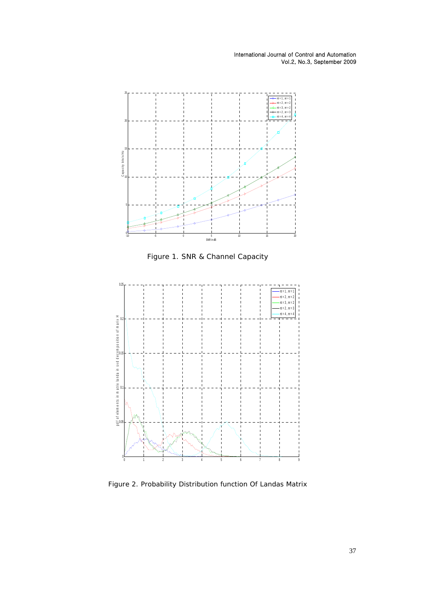

Figure 2. Probability Distribution function Of Landas Matrix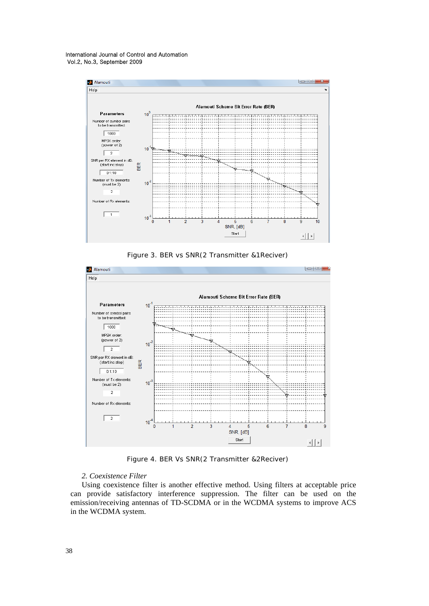





Figure 4. BER Vs SNR(2 Transmitter &2Reciver)

# *2. Coexistence Filter*

Using coexistence filter is another effective method. Using filters at acceptable price can provide satisfactory interference suppression. The filter can be used on the emission/receiving antennas of TD-SCDMA or in the WCDMA systems to improve ACS in the WCDMA system.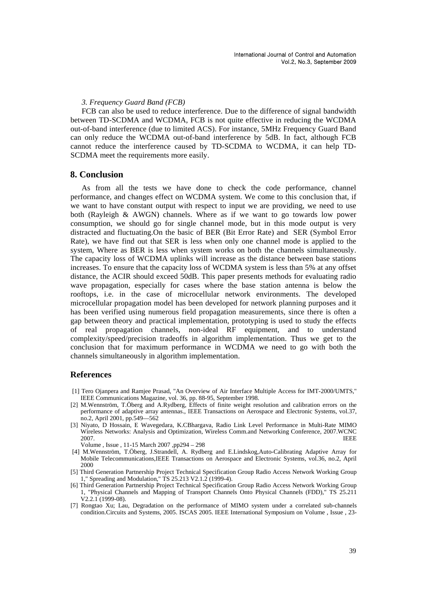### *3. Frequency Guard Band (FCB)*

FCB can also be used to reduce interference. Due to the difference of signal bandwidth between TD-SCDMA and WCDMA, FCB is not quite effective in reducing the WCDMA out-of-band interference (due to limited ACS). For instance, 5MHz Frequency Guard Band can only reduce the WCDMA out-of-band interference by 5dB. In fact, although FCB cannot reduce the interference caused by TD-SCDMA to WCDMA, it can help TD-SCDMA meet the requirements more easily.

### **8. Conclusion**

As from all the tests we have done to check the code performance, channel performance, and changes effect on WCDMA system. We come to this conclusion that, if we want to have constant output with respect to input we are providing, we need to use both (Rayleigh & AWGN) channels. Where as if we want to go towards low power consumption, we should go for single channel mode, but in this mode output is very distracted and fluctuating.On the basic of BER (Bit Error Rate) and SER (Symbol Error Rate), we have find out that SER is less when only one channel mode is applied to the system, Where as BER is less when system works on both the channels simultaneously. The capacity loss of WCDMA uplinks will increase as the distance between base stations increases. To ensure that the capacity loss of WCDMA system is less than 5% at any offset distance, the ACIR should exceed 50dB. This paper presents methods for evaluating radio wave propagation, especially for cases where the base station antenna is below the rooftops, i.e. in the case of microcellular network environments. The developed microcellular propagation model has been developed for network planning purposes and it has been verified using numerous field propagation measurements, since there is often a gap between theory and practical implementation, prototyping is used to study the effects of real propagation channels, non-ideal RF equipment, and to understand complexity/speed/precision tradeoffs in algorithm implementation. Thus we get to the conclusion that for maximum performance in WCDMA we need to go with both the channels simultaneously in algorithm implementation.

# **References**

- [1] Tero Ojanpera and Ramjee Prasad, "An Overview of Air Interface Multiple Access for IMT-2000/UMTS," IEEE Communications Magazine, vol. 36, pp. 88-95, September 1998.
- [2] M.Wennström, T.Öberg and A.Rydberg, Effects of finite weight resolution and calibration errors on the performance of adaptive array antennas., IEEE Transactions on Aerospace and Electronic Systems, vol.37, no.2, April 2001, pp.549—562
- [3] Niyato, D Hossain, E Wavegedara, K.CBhargava, Radio Link Level Performance in Multi-Rate MIMO Wireless Networks: Analysis and Optimization, Wireless Comm.and Networking Conference, 2007.WCNC 2007. IEEE

Volume , Issue , 11-15 March 2007 ,pp294 – 298

- [4] M.Wennström, T.Öberg, J.Strandell, A. Rydberg and E.Lindskog,Auto-Calibrating Adaptive Array for Mobile Telecommunications,IEEE Transactions on Aerospace and Electronic Systems, vol.36, no.2, April 2000
- [5] Third Generation Partnership Project Technical Specification Group Radio Access Network Working Group 1," Spreading and Modulation," TS 25.213 V2.1.2 (1999-4).
- [6] Third Generation Partnership Project Technical Specification Group Radio Access Network Working Group 1, "Physical Channels and Mapping of Transport Channels Onto Physical Channels (FDD)," TS 25.211 V2.2.1 (1999-08).
- [7] Rongtao Xu; Lau, Degradation on the performance of MIMO system under a correlated sub-channels condition.Circuits and Systems, 2005. ISCAS 2005. IEEE International Symposium on Volume , Issue , 23-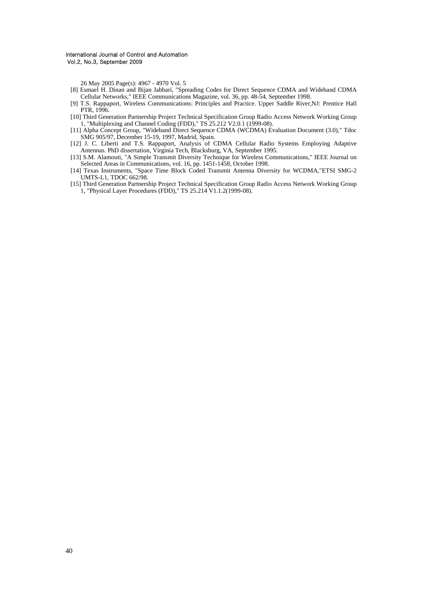26 May 2005 Page(s): 4967 - 4970 Vol. 5

- [8] Esmael H. Dinan and Bijan Jabbari, "Spreading Codes for Direct Sequence CDMA and Wideband CDMA Cellular Networks," IEEE Communications Magazine, vol. 36, pp. 48-54, September 1998.
- [9] T.S. Rappaport, Wireless Communications: Principles and Practice. Upper Saddle River,NJ: Prentice Hall PTR, 1996.
- [10] Third Generation Partnership Project Technical Specification Group Radio Access Network Working Group 1, "Multiplexing and Channel Coding (FDD),"  $TS$  25.212 V2.0.1 (1999-08).
- [11] Alpha Concept Group, "Wideband Direct Sequence CDMA (WCDMA) Evaluation Document (3.0)," Tdoc SMG 905/97, December 15-19, 1997, Madrid, Spain.
- [12] J. C. Liberti and T.S. Rappaport, Analysis of CDMA Cellular Radio Systems Employing Adaptive Antennas. PhD dissertation, Virginia Tech, Blacksburg, VA, September 1995.
- [13] S.M. Alamouti, "A Simple Transmit Diversity Technique for Wireless Communications," IEEE Journal on Selected Areas in Communications, vol. 16, pp. 1451-1458, October 1998.
- [14] Texas Instruments, "Space Time Block Coded Transmit Antenna Diversity for WCDMA,"ETSI SMG-2 UMTS-L1, TDOC 662/98.
- [15] Third Generation Partnership Project Technical Specification Group Radio Access Network Working Group 1, "Physical Layer Procedures (FDD)," TS 25.214 V1.1.2(1999-08).